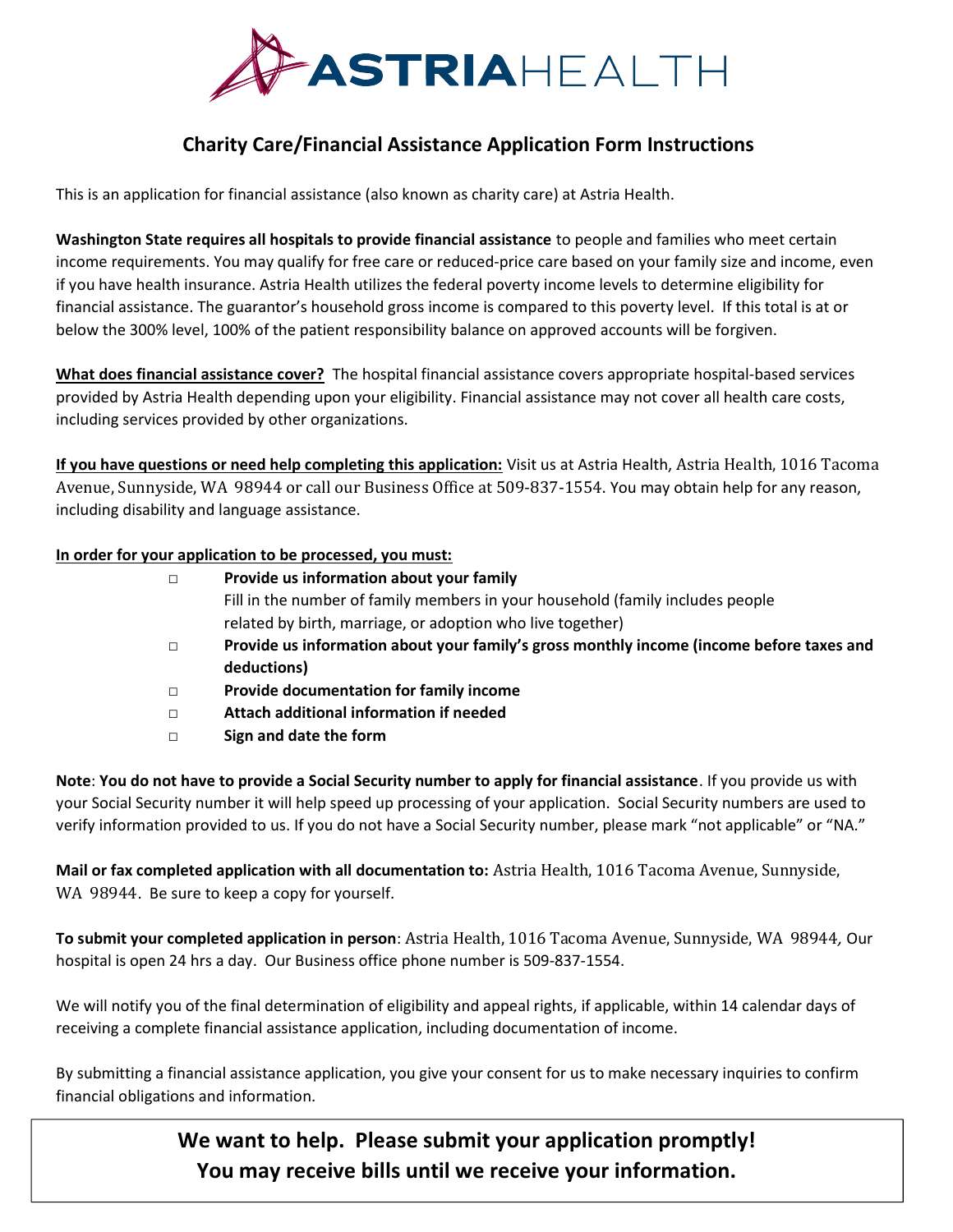

# Charity Care/Financial Assistance Application Form Instructions

This is an application for financial assistance (also known as charity care) at Astria Health.

Washington State requires all hospitals to provide financial assistance to people and families who meet certain income requirements. You may qualify for free care or reduced-price care based on your family size and income, even if you have health insurance. Astria Health utilizes the federal poverty income levels to determine eligibility for financial assistance. The guarantor's household gross income is compared to this poverty level. If this total is at or below the 300% level, 100% of the patient responsibility balance on approved accounts will be forgiven.

What does financial assistance cover? The hospital financial assistance covers appropriate hospital-based services provided by Astria Health depending upon your eligibility. Financial assistance may not cover all health care costs, including services provided by other organizations.

If you have questions or need help completing this application: Visit us at Astria Health, Astria Health, 1016 Tacoma Avenue, Sunnyside, WA 98944 or call our Business Office at 509-837-1554. You may obtain help for any reason, including disability and language assistance.

#### In order for your application to be processed, you must:

| П      | Provide us information about your family                                                 |
|--------|------------------------------------------------------------------------------------------|
|        | Fill in the number of family members in your household (family includes people           |
|        | related by birth, marriage, or adoption who live together)                               |
| П      | Provide us information about your family's gross monthly income (income before taxes and |
|        | deductions)                                                                              |
| $\Box$ | Provide documentation for family income                                                  |
| $\Box$ | Attach additional information if needed                                                  |
| □      | Sign and date the form                                                                   |

Note: You do not have to provide a Social Security number to apply for financial assistance. If you provide us with your Social Security number it will help speed up processing of your application. Social Security numbers are used to verify information provided to us. If you do not have a Social Security number, please mark "not applicable" or "NA."

Mail or fax completed application with all documentation to: Astria Health, 1016 Tacoma Avenue, Sunnyside, WA 98944. Be sure to keep a copy for yourself.

To submit your completed application in person: Astria Health, 1016 Tacoma Avenue, Sunnyside, WA 98944, Our hospital is open 24 hrs a day. Our Business office phone number is 509-837-1554.

We will notify you of the final determination of eligibility and appeal rights, if applicable, within 14 calendar days of receiving a complete financial assistance application, including documentation of income.

By submitting a financial assistance application, you give your consent for us to make necessary inquiries to confirm financial obligations and information.

> We want to help. Please submit your application promptly! You may receive bills until we receive your information.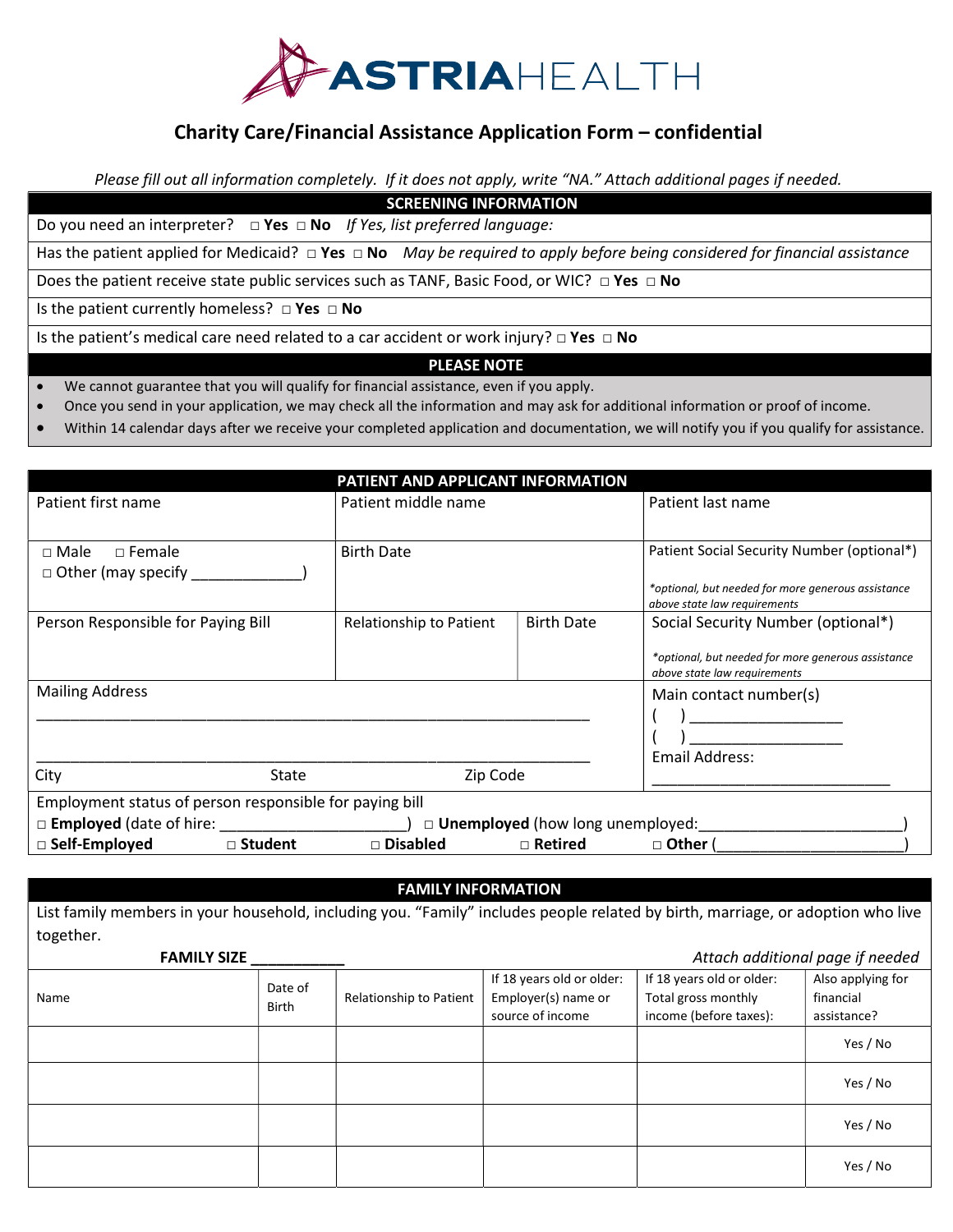

### Charity Care/Financial Assistance Application Form – confidential

Please fill out all information completely. If it does not apply, write "NA." Attach additional pages if needed.

# SCREENING INFORMATION

Do you need an interpreter?  $\Box$  Yes  $\Box$  No If Yes, list preferred language:

Has the patient applied for Medicaid?  $\Box$  Yes  $\Box$  No May be required to apply before being considered for financial assistance

Does the patient receive state public services such as TANF, Basic Food, or WIC? □ Yes □ No

Is the patient currently homeless? □ Yes □ No

Is the patient's medical care need related to a car accident or work injury?  $\Box$  Yes  $\Box$  No

#### PLEASE NOTE

- We cannot guarantee that you will qualify for financial assistance, even if you apply.
- Once you send in your application, we may check all the information and may ask for additional information or proof of income.
- Within 14 calendar days after we receive your completed application and documentation, we will notify you if you qualify for assistance.

| PATIENT AND APPLICANT INFORMATION                                      |                         |                        |                                                                                    |  |  |  |  |  |  |  |
|------------------------------------------------------------------------|-------------------------|------------------------|------------------------------------------------------------------------------------|--|--|--|--|--|--|--|
| Patient first name                                                     | Patient middle name     |                        | Patient last name                                                                  |  |  |  |  |  |  |  |
|                                                                        |                         |                        |                                                                                    |  |  |  |  |  |  |  |
| $\Box$ Female<br>$\sqcap$ Male                                         | <b>Birth Date</b>       |                        | Patient Social Security Number (optional*)                                         |  |  |  |  |  |  |  |
| $\Box$ Other (may specify $\Box$                                       |                         |                        |                                                                                    |  |  |  |  |  |  |  |
|                                                                        |                         |                        | *optional, but needed for more generous assistance<br>above state law requirements |  |  |  |  |  |  |  |
| Person Responsible for Paying Bill                                     | Relationship to Patient | <b>Birth Date</b>      | Social Security Number (optional*)                                                 |  |  |  |  |  |  |  |
|                                                                        |                         |                        | *optional, but needed for more generous assistance<br>above state law requirements |  |  |  |  |  |  |  |
| <b>Mailing Address</b>                                                 |                         | Main contact number(s) |                                                                                    |  |  |  |  |  |  |  |
|                                                                        |                         |                        |                                                                                    |  |  |  |  |  |  |  |
|                                                                        |                         |                        |                                                                                    |  |  |  |  |  |  |  |
|                                                                        | Email Address:          |                        |                                                                                    |  |  |  |  |  |  |  |
| City<br>State                                                          | Zip Code                |                        |                                                                                    |  |  |  |  |  |  |  |
| Employment status of person responsible for paying bill                |                         |                        |                                                                                    |  |  |  |  |  |  |  |
| □ <b>Employed</b> (date of hire:<br>□ Unemployed (how long unemployed: |                         |                        |                                                                                    |  |  |  |  |  |  |  |
| $\Box$ Self-Employed<br>□ Student                                      | □ Disabled              | $\Box$ Retired         | $\Box$ Other (                                                                     |  |  |  |  |  |  |  |

#### FAMILY INFORMATION

List family members in your household, including you. "Family" includes people related by birth, marriage, or adoption who live together.

| <b>FAMILY SIZE</b> |                         |                         | Attach additional page if needed |                           |                   |
|--------------------|-------------------------|-------------------------|----------------------------------|---------------------------|-------------------|
|                    | Date of<br><b>Birth</b> | Relationship to Patient | If 18 years old or older:        | If 18 years old or older: | Also applying for |
| Name               |                         |                         | Employer(s) name or              | Total gross monthly       | financial         |
|                    |                         |                         | source of income                 | income (before taxes):    | assistance?       |
|                    |                         |                         |                                  |                           | Yes / No          |
|                    |                         |                         |                                  |                           | Yes / No          |
|                    |                         |                         |                                  |                           | Yes / No          |
|                    |                         |                         |                                  |                           | Yes / No          |